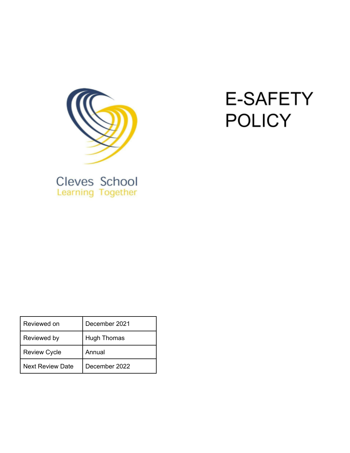

# **E-SAFETY POLICY**

| Cleves School |  |
|---------------|--|
|               |  |

| Reviewed on             | December 2021      |
|-------------------------|--------------------|
| Reviewed by             | <b>Hugh Thomas</b> |
| <b>Review Cycle</b>     | Annual             |
| <b>Next Review Date</b> | December 2022      |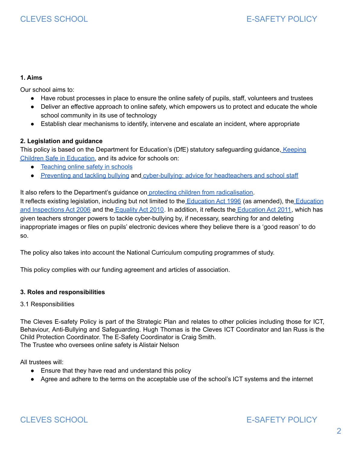# **1. Aims**

Our school aims to:

- Have robust processes in place to ensure the online safety of pupils, staff, volunteers and trustees
- Deliver an effective approach to online safety, which empowers us to protect and educate the whole school community in its use of technology
- Establish clear mechanisms to identify, intervene and escalate an incident, where appropriate

# **2. Legislation and guidance**

This policy is based on the Department for Education's (DfE) statutory safeguarding guidance, [Keeping](https://www.gov.uk/government/publications/keeping-children-safe-in-education--2) Children Safe in [Education,](https://www.gov.uk/government/publications/keeping-children-safe-in-education--2) and its advice for schools on:

- [Teaching](https://www.gov.uk/government/publications/teaching-online-safety-in-schools) online safety in schools
- [Preventing](https://www.gov.uk/government/publications/preventing-and-tackling-bullying) and tackling bullying and [cyber-bullying:](https://www.gov.uk/government/publications/preventing-and-tackling-bullying) advice for headteachers and school staff

It also refers to the Department's guidance on protecting children from [radicalisation.](https://www.gov.uk/government/publications/protecting-children-from-radicalisation-the-prevent-duty)

It reflects existing legislation, including but not limited to the [Education](https://www.legislation.gov.uk/ukpga/2006/40/contents) Act 1996 (as amended), the Education and [Inspections](https://www.legislation.gov.uk/ukpga/2006/40/contents) Act 2006 and the [Equality](https://www.legislation.gov.uk/ukpga/2010/15/contents) Act 2010. In addition, it reflects the [Education](http://www.legislation.gov.uk/ukpga/2011/21/contents/enacted) Act 2011, which has given teachers stronger powers to tackle cyber-bullying by, if necessary, searching for and deleting inappropriate images or files on pupils' electronic devices where they believe there is a 'good reason' to do so.

The policy also takes into account the National Curriculum computing programmes of study.

This policy complies with our funding agreement and articles of association.

### **3. Roles and responsibilities**

### 3.1 Responsibilities

The Cleves E-safety Policy is part of the Strategic Plan and relates to other policies including those for ICT, Behaviour, Anti-Bullying and Safeguarding. Hugh Thomas is the Cleves ICT Coordinator and Ian Russ is the Child Protection Coordinator. The E-Safety Coordinator is Craig Smith. The Trustee who oversees online safety is Alistair Nelson

All trustees will:

- Ensure that they have read and understand this policy
- Agree and adhere to the terms on the acceptable use of the school's ICT systems and the internet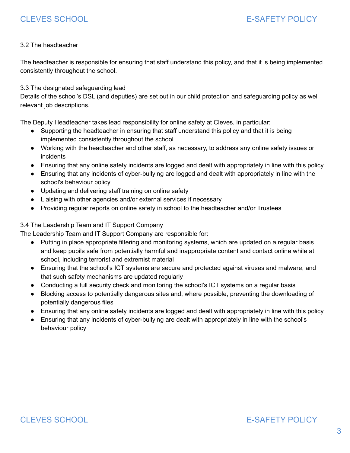# 3.2 The headteacher

The headteacher is responsible for ensuring that staff understand this policy, and that it is being implemented consistently throughout the school.

3.3 The designated safeguarding lead

Details of the school's DSL (and deputies) are set out in our child protection and safeguarding policy as well relevant job descriptions.

The Deputy Headteacher takes lead responsibility for online safety at Cleves, in particular:

- Supporting the headteacher in ensuring that staff understand this policy and that it is being implemented consistently throughout the school
- Working with the headteacher and other staff, as necessary, to address any online safety issues or incidents
- Ensuring that any online safety incidents are logged and dealt with appropriately in line with this policy
- Ensuring that any incidents of cyber-bullying are logged and dealt with appropriately in line with the school's behaviour policy
- Updating and delivering staff training on online safety
- Liaising with other agencies and/or external services if necessary
- Providing regular reports on online safety in school to the headteacher and/or Trustees

# 3.4 The Leadership Team and IT Support Company

The Leadership Team and IT Support Company are responsible for:

- Putting in place appropriate filtering and monitoring systems, which are updated on a regular basis and keep pupils safe from potentially harmful and inappropriate content and contact online while at school, including terrorist and extremist material
- Ensuring that the school's ICT systems are secure and protected against viruses and malware, and that such safety mechanisms are updated regularly
- Conducting a full security check and monitoring the school's ICT systems on a regular basis
- Blocking access to potentially dangerous sites and, where possible, preventing the downloading of potentially dangerous files
- Ensuring that any online safety incidents are logged and dealt with appropriately in line with this policy
- Ensuring that any incidents of cyber-bullying are dealt with appropriately in line with the school's behaviour policy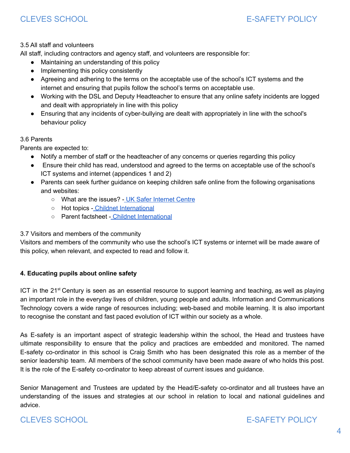# 3.5 All staff and volunteers

All staff, including contractors and agency staff, and volunteers are responsible for:

- Maintaining an understanding of this policy
- Implementing this policy consistently
- Agreeing and adhering to the terms on the acceptable use of the school's ICT systems and the internet and ensuring that pupils follow the school's terms on acceptable use.
- Working with the DSL and Deputy Headteacher to ensure that any online safety incidents are logged and dealt with appropriately in line with this policy
- Ensuring that any incidents of cyber-bullying are dealt with appropriately in line with the school's behaviour policy

# 3.6 Parents

Parents are expected to:

- Notify a member of staff or the headteacher of any concerns or queries regarding this policy
- Ensure their child has read, understood and agreed to the terms on acceptable use of the school's ICT systems and internet (appendices 1 and 2)
- Parents can seek further guidance on keeping children safe online from the following organisations and websites:
	- What are the issues? UK Safer [Internet](https://www.saferinternet.org.uk/advice-centre/parents-and-carers/what-are-issues) Centre
	- Hot topics Childnet [International](http://www.childnet.com/parents-and-carers/hot-topics)
	- Parent factsheet Childnet [International](https://www.childnet.com/resources/parents-and-carers-resource-sheet)

# 3.7 Visitors and members of the community

Visitors and members of the community who use the school's ICT systems or internet will be made aware of this policy, when relevant, and expected to read and follow it.

# **4. Educating pupils about online safety**

ICT in the 21<sup>st</sup> Century is seen as an essential resource to support learning and teaching, as well as playing an important role in the everyday lives of children, young people and adults. Information and Communications Technology covers a wide range of resources including; web-based and mobile learning. It is also important to recognise the constant and fast paced evolution of ICT within our society as a whole.

As E-safety is an important aspect of strategic leadership within the school, the Head and trustees have ultimate responsibility to ensure that the policy and practices are embedded and monitored. The named E-safety co-ordinator in this school is Craig Smith who has been designated this role as a member of the senior leadership team. All members of the school community have been made aware of who holds this post. It is the role of the E-safety co-ordinator to keep abreast of current issues and guidance.

Senior Management and Trustees are updated by the Head/E-safety co-ordinator and all trustees have an understanding of the issues and strategies at our school in relation to local and national guidelines and advice.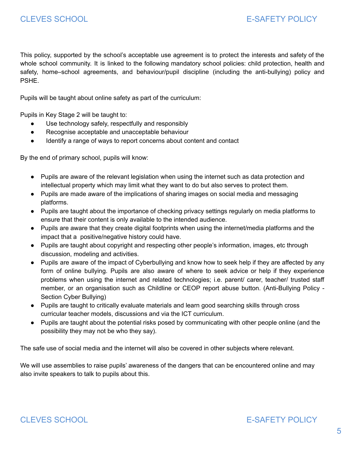This policy, supported by the school's acceptable use agreement is to protect the interests and safety of the whole school community. It is linked to the following mandatory school policies: child protection, health and safety, home–school agreements, and behaviour/pupil discipline (including the anti-bullying) policy and PSHE.

Pupils will be taught about online safety as part of the curriculum:

Pupils in Key Stage 2 will be taught to:

- Use technology safely, respectfully and responsibly
- Recognise acceptable and unacceptable behaviour
- Identify a range of ways to report concerns about content and contact

By the end of primary school, pupils will know:

- Pupils are aware of the relevant legislation when using the internet such as data protection and intellectual property which may limit what they want to do but also serves to protect them.
- Pupils are made aware of the implications of sharing images on social media and messaging platforms.
- Pupils are taught about the importance of checking privacy settings regularly on media platforms to ensure that their content is only available to the intended audience.
- Pupils are aware that they create digital footprints when using the internet/media platforms and the impact that a positive/negative history could have.
- Pupils are taught about copyright and respecting other people's information, images, etc through discussion, modeling and activities.
- Pupils are aware of the impact of Cyberbullying and know how to seek help if they are affected by any form of online bullying. Pupils are also aware of where to seek advice or help if they experience problems when using the internet and related technologies; i.e. parent/ carer, teacher/ trusted staff member, or an organisation such as Childline or CEOP report abuse button. (Anti-Bullying Policy - Section Cyber Bullying)
- Pupils are taught to critically evaluate materials and learn good searching skills through cross curricular teacher models, discussions and via the ICT curriculum.
- Pupils are taught about the potential risks posed by communicating with other people online (and the possibility they may not be who they say).

The safe use of social media and the internet will also be covered in other subjects where relevant.

We will use assemblies to raise pupils' awareness of the dangers that can be encountered online and may also invite speakers to talk to pupils about this.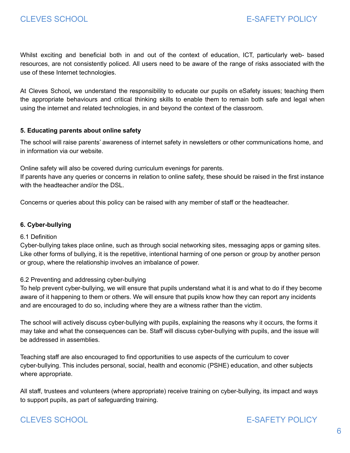Whilst exciting and beneficial both in and out of the context of education, ICT, particularly web- based resources, are not consistently policed. All users need to be aware of the range of risks associated with the use of these Internet technologies.

At Cleves School*,* we understand the responsibility to educate our pupils on eSafety issues; teaching them the appropriate behaviours and critical thinking skills to enable them to remain both safe and legal when using the internet and related technologies, in and beyond the context of the classroom.

# **5. Educating parents about online safety**

The school will raise parents' awareness of internet safety in newsletters or other communications home, and in information via our website.

Online safety will also be covered during curriculum evenings for parents.

If parents have any queries or concerns in relation to online safety, these should be raised in the first instance with the headteacher and/or the DSL.

Concerns or queries about this policy can be raised with any member of staff or the headteacher.

### **6. Cyber-bullying**

### 6.1 Definition

Cyber-bullying takes place online, such as through social networking sites, messaging apps or gaming sites. Like other forms of bullying, it is the repetitive, intentional harming of one person or group by another person or group, where the relationship involves an imbalance of power.

### 6.2 Preventing and addressing cyber-bullying

To help prevent cyber-bullying, we will ensure that pupils understand what it is and what to do if they become aware of it happening to them or others. We will ensure that pupils know how they can report any incidents and are encouraged to do so, including where they are a witness rather than the victim.

The school will actively discuss cyber-bullying with pupils, explaining the reasons why it occurs, the forms it may take and what the consequences can be. Staff will discuss cyber-bullying with pupils, and the issue will be addressed in assemblies.

Teaching staff are also encouraged to find opportunities to use aspects of the curriculum to cover cyber-bullying. This includes personal, social, health and economic (PSHE) education, and other subjects where appropriate.

All staff, trustees and volunteers (where appropriate) receive training on cyber-bullying, its impact and ways to support pupils, as part of safeguarding training.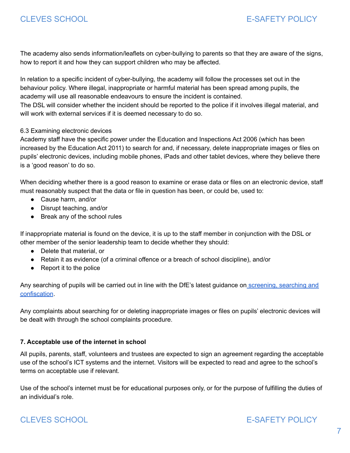The academy also sends information/leaflets on cyber-bullying to parents so that they are aware of the signs, how to report it and how they can support children who may be affected.

In relation to a specific incident of cyber-bullying, the academy will follow the processes set out in the behaviour policy. Where illegal, inappropriate or harmful material has been spread among pupils, the academy will use all reasonable endeavours to ensure the incident is contained.

The DSL will consider whether the incident should be reported to the police if it involves illegal material, and will work with external services if it is deemed necessary to do so.

# 6.3 Examining electronic devices

Academy staff have the specific power under the Education and Inspections Act 2006 (which has been increased by the Education Act 2011) to search for and, if necessary, delete inappropriate images or files on pupils' electronic devices, including mobile phones, iPads and other tablet devices, where they believe there is a 'good reason' to do so.

When deciding whether there is a good reason to examine or erase data or files on an electronic device, staff must reasonably suspect that the data or file in question has been, or could be, used to:

- Cause harm, and/or
- Disrupt teaching, and/or
- Break any of the school rules

If inappropriate material is found on the device, it is up to the staff member in conjunction with the DSL or other member of the senior leadership team to decide whether they should:

- Delete that material, or
- Retain it as evidence (of a criminal offence or a breach of school discipline), and/or
- Report it to the police

Any searching of pupils will be carried out in line with the DfE's latest guidance on [screening,](https://www.gov.uk/government/publications/searching-screening-and-confiscation) searching and [confiscation](https://www.gov.uk/government/publications/searching-screening-and-confiscation).

Any complaints about searching for or deleting inappropriate images or files on pupils' electronic devices will be dealt with through the school complaints procedure.

# **7. Acceptable use of the internet in school**

All pupils, parents, staff, volunteers and trustees are expected to sign an agreement regarding the acceptable use of the school's ICT systems and the internet. Visitors will be expected to read and agree to the school's terms on acceptable use if relevant.

Use of the school's internet must be for educational purposes only, or for the purpose of fulfilling the duties of an individual's role.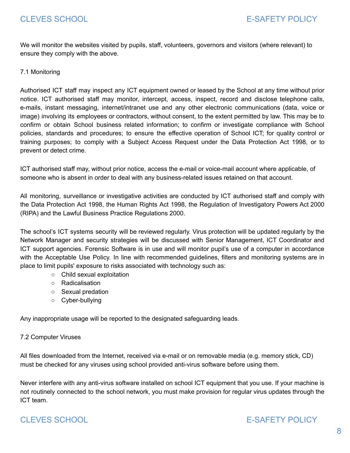We will monitor the websites visited by pupils, staff, volunteers, governors and visitors (where relevant) to ensure they comply with the above.

7.1 Monitoring

Authorised ICT staff may inspect any ICT equipment owned or leased by the School at any time without prior notice. ICT authorised staff may monitor, intercept, access, inspect, record and disclose telephone calls, e-mails, instant messaging, internet/intranet use and any other electronic communications (data, voice or image) involving its employees or contractors, without consent, to the extent permitted by law. This may be to confirm or obtain School business related information; to confirm or investigate compliance with School policies, standards and procedures; to ensure the effective operation of School ICT; for quality control or training purposes; to comply with a Subject Access Request under the Data Protection Act 1998, or to prevent or detect crime.

ICT authorised staff may, without prior notice, access the e-mail or voice-mail account where applicable, of someone who is absent in order to deal with any business-related issues retained on that account.

All monitoring, surveillance or investigative activities are conducted by ICT authorised staff and comply with the Data Protection Act 1998, the Human Rights Act 1998, the Regulation of Investigatory Powers Act 2000 (RIPA) and the Lawful Business Practice Regulations 2000.

The school's ICT systems security will be reviewed regularly. Virus protection will be updated regularly by the Network Manager and security strategies will be discussed with Senior Management, ICT Coordinator and ICT support agencies. Forensic Software is in use and will monitor pupil's use of a computer in accordance with the Acceptable Use Policy. In line with recommended guidelines, filters and monitoring systems are in place to limit pupils' exposure to risks associated with technology such as:

- Child sexual exploitation
- Radicalisation
- Sexual predation
- Cyber-bullying

Any inappropriate usage will be reported to the designated safeguarding leads.

### 7.2 Computer Viruses

All files downloaded from the Internet, received via e-mail or on removable media (e.g. memory stick, CD) must be checked for any viruses using school provided anti-virus software before using them.

Never interfere with any anti-virus software installed on school ICT equipment that you use. If your machine is not routinely connected to the school network, you must make provision for regular virus updates through the ICT team.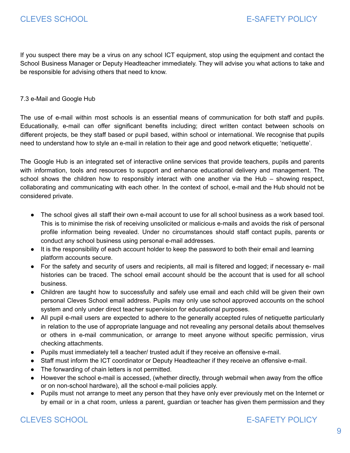If you suspect there may be a virus on any school ICT equipment, stop using the equipment and contact the School Business Manager or Deputy Headteacher immediately. They will advise you what actions to take and be responsible for advising others that need to know.

### 7.3 e-Mail and Google Hub

The use of e-mail within most schools is an essential means of communication for both staff and pupils. Educationally, e-mail can offer significant benefits including; direct written contact between schools on different projects, be they staff based or pupil based, within school or international. We recognise that pupils need to understand how to style an e-mail in relation to their age and good network etiquette; 'netiquette'.

The Google Hub is an integrated set of interactive online services that provide teachers, pupils and parents with information, tools and resources to support and enhance educational delivery and management. The school shows the children how to responsibly interact with one another via the Hub – showing respect, collaborating and communicating with each other. In the context of school, e-mail and the Hub should not be considered private.

- The school gives all staff their own e-mail account to use for all school business as a work based tool. This is to minimise the risk of receiving unsolicited or malicious e-mails and avoids the risk of personal profile information being revealed. Under no circumstances should staff contact pupils, parents or conduct any school business using personal e-mail addresses.
- It is the responsibility of each account holder to keep the password to both their email and learning platform accounts secure.
- For the safety and security of users and recipients, all mail is filtered and logged; if necessary e- mail histories can be traced. The school email account should be the account that is used for all school business.
- Children are taught how to successfully and safely use email and each child will be given their own personal Cleves School email address. Pupils may only use school approved accounts on the school system and only under direct teacher supervision for educational purposes.
- All pupil e-mail users are expected to adhere to the generally accepted rules of netiquette particularly in relation to the use of appropriate language and not revealing any personal details about themselves or others in e-mail communication, or arrange to meet anyone without specific permission, virus checking attachments.
- Pupils must immediately tell a teacher/ trusted adult if they receive an offensive e-mail.
- Staff must inform the ICT coordinator or Deputy Headteacher if they receive an offensive e-mail.
- The forwarding of chain letters is not permitted.
- However the school e-mail is accessed, (whether directly, through webmail when away from the office or on non-school hardware), all the school e-mail policies apply.
- Pupils must not arrange to meet any person that they have only ever previously met on the Internet or by email or in a chat room, unless a parent, guardian or teacher has given them permission and they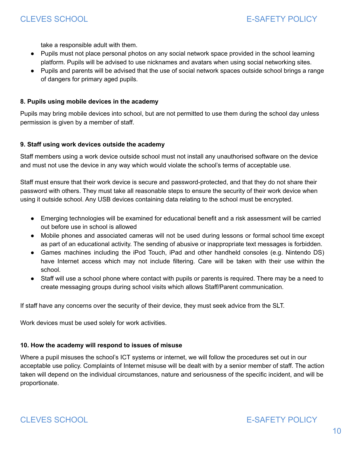take a responsible adult with them.

- Pupils must not place personal photos on any social network space provided in the school learning platform. Pupils will be advised to use nicknames and avatars when using social networking sites.
- Pupils and parents will be advised that the use of social network spaces outside school brings a range of dangers for primary aged pupils.

#### **8. Pupils using mobile devices in the academy**

Pupils may bring mobile devices into school, but are not permitted to use them during the school day unless permission is given by a member of staff.

#### **9. Staff using work devices outside the academy**

Staff members using a work device outside school must not install any unauthorised software on the device and must not use the device in any way which would violate the school's terms of acceptable use.

Staff must ensure that their work device is secure and password-protected, and that they do not share their password with others. They must take all reasonable steps to ensure the security of their work device when using it outside school. Any USB devices containing data relating to the school must be encrypted.

- Emerging technologies will be examined for educational benefit and a risk assessment will be carried out before use in school is allowed
- Mobile phones and associated cameras will not be used during lessons or formal school time except as part of an educational activity. The sending of abusive or inappropriate text messages is forbidden.
- Games machines including the iPod Touch, iPad and other handheld consoles (e.g. Nintendo DS) have Internet access which may not include filtering. Care will be taken with their use within the school.
- Staff will use a school phone where contact with pupils or parents is required. There may be a need to create messaging groups during school visits which allows Staff/Parent communication.

If staff have any concerns over the security of their device, they must seek advice from the SLT.

Work devices must be used solely for work activities.

### **10. How the academy will respond to issues of misuse**

Where a pupil misuses the school's ICT systems or internet, we will follow the procedures set out in our acceptable use policy. Complaints of Internet misuse will be dealt with by a senior member of staff. The action taken will depend on the individual circumstances, nature and seriousness of the specific incident, and will be proportionate.